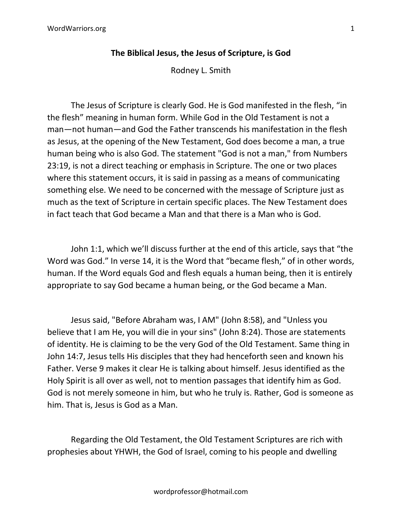Rodney L. Smith

The Jesus of Scripture is clearly God. He is God manifested in the flesh, "in the flesh" meaning in human form. While God in the Old Testament is not a man—not human—and God the Father transcends his manifestation in the flesh as Jesus, at the opening of the New Testament, God does become a man, a true human being who is also God. The statement "God is not a man," from Numbers 23:19, is not a direct teaching or emphasis in Scripture. The one or two places where this statement occurs, it is said in passing as a means of communicating something else. We need to be concerned with the message of Scripture just as much as the text of Scripture in certain specific places. The New Testament does in fact teach that God became a Man and that there is a Man who is God.

John 1:1, which we'll discuss further at the end of this article, says that "the Word was God." In verse 14, it is the Word that "became flesh," of in other words, human. If the Word equals God and flesh equals a human being, then it is entirely appropriate to say God became a human being, or the God became a Man.

Jesus said, "Before Abraham was, I AM" (John 8:58), and "Unless you believe that I am He, you will die in your sins" (John 8:24). Those are statements of identity. He is claiming to be the very God of the Old Testament. Same thing in John 14:7, Jesus tells His disciples that they had henceforth seen and known his Father. Verse 9 makes it clear He is talking about himself. Jesus identified as the Holy Spirit is all over as well, not to mention passages that identify him as God. God is not merely someone in him, but who he truly is. Rather, God is someone as him. That is, Jesus is God as a Man.

Regarding the Old Testament, the Old Testament Scriptures are rich with prophesies about YHWH, the God of Israel, coming to his people and dwelling

wordprofessor@hotmail.com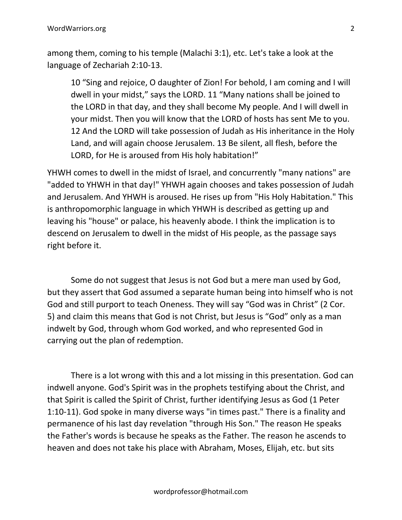among them, coming to his temple (Malachi 3:1), etc. Let's take a look at the language of Zechariah 2:10-13.

10 "Sing and rejoice, O daughter of Zion! For behold, I am coming and I will dwell in your midst," says the LORD. 11 "Many nations shall be joined to the LORD in that day, and they shall become My people. And I will dwell in your midst. Then you will know that the LORD of hosts has sent Me to you. 12 And the LORD will take possession of Judah as His inheritance in the Holy Land, and will again choose Jerusalem. 13 Be silent, all flesh, before the LORD, for He is aroused from His holy habitation!"

YHWH comes to dwell in the midst of Israel, and concurrently "many nations" are "added to YHWH in that day!" YHWH again chooses and takes possession of Judah and Jerusalem. And YHWH is aroused. He rises up from "His Holy Habitation." This is anthropomorphic language in which YHWH is described as getting up and leaving his "house" or palace, his heavenly abode. I think the implication is to descend on Jerusalem to dwell in the midst of His people, as the passage says right before it.

Some do not suggest that Jesus is not God but a mere man used by God, but they assert that God assumed a separate human being into himself who is not God and still purport to teach Oneness. They will say "God was in Christ" (2 Cor. 5) and claim this means that God is not Christ, but Jesus is "God" only as a man indwelt by God, through whom God worked, and who represented God in carrying out the plan of redemption.

There is a lot wrong with this and a lot missing in this presentation. God can indwell anyone. God's Spirit was in the prophets testifying about the Christ, and that Spirit is called the Spirit of Christ, further identifying Jesus as God (1 Peter 1:10-11). God spoke in many diverse ways "in times past." There is a finality and permanence of his last day revelation "through His Son." The reason He speaks the Father's words is because he speaks as the Father. The reason he ascends to heaven and does not take his place with Abraham, Moses, Elijah, etc. but sits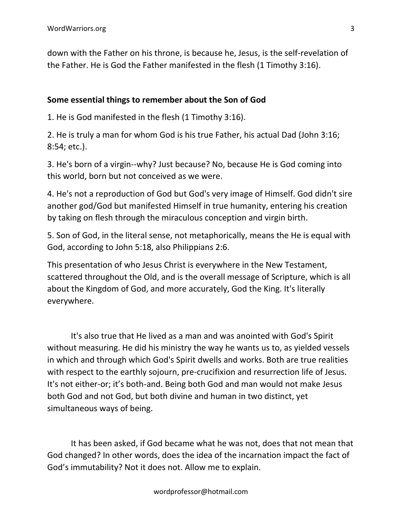down with the Father on his throne, is because he, Jesus, is the self-revelation of the Father. He is God the Father manifested in the flesh (1 Timothy 3:16).

## **Some essential things to remember about the Son of God**

1. He is God manifested in the flesh (1 Timothy 3:16).

2. He is truly a man for whom God is his true Father, his actual Dad (John 3:16; 8:54; etc.).

3. He's born of a virgin--why? Just because? No, because He is God coming into this world, born but not conceived as we were.

4. He's not a reproduction of God but God's very image of Himself. God didn't sire another god/God but manifested Himself in true humanity, entering his creation by taking on flesh through the miraculous conception and virgin birth.

5. Son of God, in the literal sense, not metaphorically, means the He is equal with God, according to John 5:18, also Philippians 2:6.

This presentation of who Jesus Christ is everywhere in the New Testament, scattered throughout the Old, and is the overall message of Scripture, which is all about the Kingdom of God, and more accurately, God the King. It's literally everywhere.

It's also true that He lived as a man and was anointed with God's Spirit without measuring. He did his ministry the way he wants us to, as yielded vessels in which and through which God's Spirit dwells and works. Both are true realities with respect to the earthly sojourn, pre-crucifixion and resurrection life of Jesus. It's not either-or; it's both-and. Being both God and man would not make Jesus both God and not God, but both divine and human in two distinct, yet simultaneous ways of being.

It has been asked, if God became what he was not, does that not mean that God changed? In other words, does the idea of the incarnation impact the fact of God's immutability? Not it does not. Allow me to explain.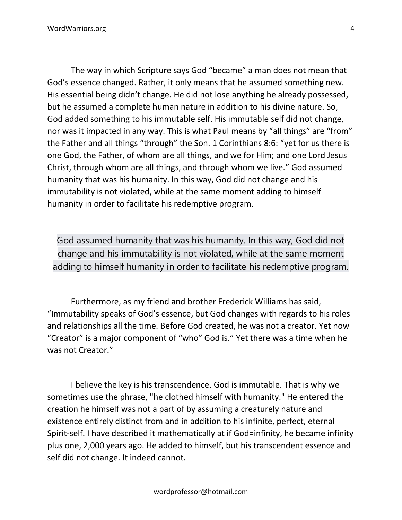The way in which Scripture says God "became" a man does not mean that God's essence changed. Rather, it only means that he assumed something new. His essential being didn't change. He did not lose anything he already possessed, but he assumed a complete human nature in addition to his divine nature. So, God added something to his immutable self. His immutable self did not change, nor was it impacted in any way. This is what Paul means by "all things" are "from" the Father and all things "through" the Son. 1 Corinthians 8:6: "yet for us there is one God, the Father, of whom are all things, and we for Him; and one Lord Jesus Christ, through whom are all things, and through whom we live." God assumed humanity that was his humanity. In this way, God did not change and his immutability is not violated, while at the same moment adding to himself humanity in order to facilitate his redemptive program.

God assumed humanity that was his humanity. In this way, God did not change and his immutability is not violated, while at the same moment adding to himself humanity in order to facilitate his redemptive program.

Furthermore, as my friend and brother Frederick Williams has said, "Immutability speaks of God's essence, but God changes with regards to his roles and relationships all the time. Before God created, he was not a creator. Yet now "Creator" is a major component of "who" God is." Yet there was a time when he was not Creator."

I believe the key is his transcendence. God is immutable. That is why we sometimes use the phrase, "he clothed himself with humanity." He entered the creation he himself was not a part of by assuming a creaturely nature and existence entirely distinct from and in addition to his infinite, perfect, eternal Spirit-self. I have described it mathematically at if God=infinity, he became infinity plus one, 2,000 years ago. He added to himself, but his transcendent essence and self did not change. It indeed cannot.